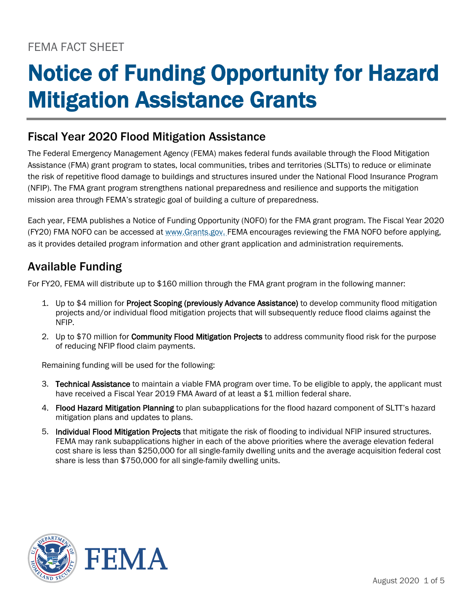# FEMA FACT SHEET

# Notice of Funding Opportunity for Hazard Mitigation Assistance Grants

## Fiscal Year 2020 Flood Mitigation Assistance

The Federal Emergency Management Agency (FEMA) makes federal funds available through the Flood Mitigation Assistance (FMA) grant program to states, local communities, tribes and territories (SLTTs) to reduce or eliminate the risk of repetitive flood damage to buildings and structures insured under the National Flood Insurance Program (NFIP). The FMA grant program strengthens national preparedness and resilience and supports the mitigation mission area through FEMA's strategic goal of building a culture of preparedness.

Each year, FEMA publishes a Notice of Funding Opportunity (NOFO) for the FMA grant program. The Fiscal Year 2020 (FY20) FMA NOFO can be accessed at [www.Grants.gov.](http://www.grants.gov/) FEMA encourages reviewing the FMA NOFO before applying, as it provides detailed program information and other grant application and administration requirements.

## Available Funding

For FY20, FEMA will distribute up to \$160 million through the FMA grant program in the following manner:

- 1. Up to \$4 million for **Project Scoping (previously Advance Assistance)** to develop community flood mitigation projects and/or individual flood mitigation projects that will subsequently reduce flood claims against the NFIP.
- 2. Up to \$70 million for Community Flood Mitigation Projects to address community flood risk for the purpose of reducing NFIP flood claim payments.

Remaining funding will be used for the following:

- 3. Technical Assistance to maintain a viable FMA program over time. To be eligible to apply, the applicant must have received a Fiscal Year 2019 FMA Award of at least a \$1 million federal share.
- 4. Flood Hazard Mitigation Planning to plan subapplications for the flood hazard component of SLTT's hazard mitigation plans and updates to plans.
- 5. Individual Flood Mitigation Projects that mitigate the risk of flooding to individual NFIP insured structures. FEMA may rank subapplications higher in each of the above priorities where the average elevation federal cost share is less than \$250,000 for all single-family dwelling units and the average acquisition federal cost share is less than \$750,000 for all single-family dwelling units.

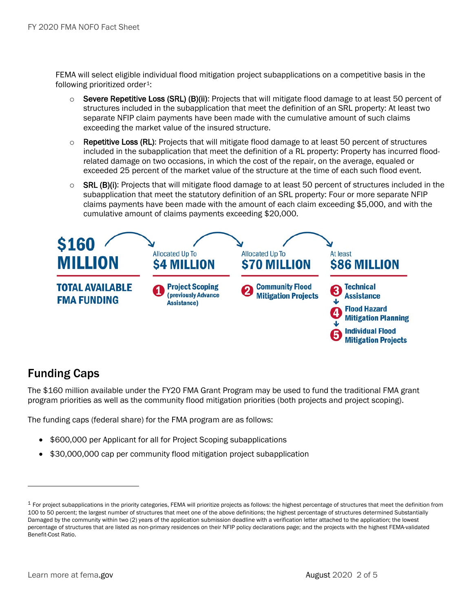FEMA will select eligible individual flood mitigation project subapplications on a competitive basis in the following prioritized order<sup>1</sup>:

- $\circ$  Severe Repetitive Loss (SRL) (B)(ii): Projects that will mitigate flood damage to at least 50 percent of structures included in the subapplication that meet the definition of an SRL property: At least two separate NFIP claim payments have been made with the cumulative amount of such claims exceeding the market value of the insured structure.
- $\circ$  Repetitive Loss (RL): Projects that will mitigate flood damage to at least 50 percent of structures included in the subapplication that meet the definition of a RL property: Property has incurred floodrelated damage on two occasions, in which the cost of the repair, on the average, equaled or exceeded 25 percent of the market value of the structure at the time of each such flood event.
- $\circ$  SRL (B)(i): Projects that will mitigate flood damage to at least 50 percent of structures included in the subapplication that meet the statutory definition of an SRL property: Four or more separate NFIP claims payments have been made with the amount of each claim exceeding \$5,000, and with the cumulative amount of claims payments exceeding \$20,000.



## Funding Caps

The \$160 million available under the FY20 FMA Grant Program may be used to fund the traditional FMA grant program priorities as well as the community flood mitigation priorities (both projects and project scoping).

The funding caps (federal share) for the FMA program are as follows:

- \$600,000 per Applicant for all for Project Scoping subapplications
- \$30,000,000 cap per community flood mitigation project subapplication

<span id="page-1-0"></span> $1$  For project subapplications in the priority categories, FEMA will prioritize projects as follows: the highest percentage of structures that meet the definition from 100 to 50 percent; the largest number of structures that meet one of the above definitions; the highest percentage of structures determined Substantially Damaged by the community within two (2) years of the application submission deadline with a verification letter attached to the application; the lowest percentage of structures that are listed as non-primary residences on their NFIP policy declarations page; and the projects with the highest FEMA-validated Benefit-Cost Ratio.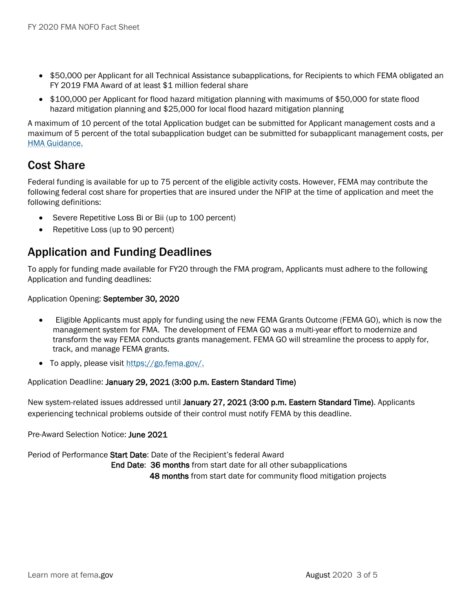- \$50,000 per Applicant for all Technical Assistance subapplications, for Recipients to which FEMA obligated an FY 2019 FMA Award of at least \$1 million federal share
- \$100,000 per Applicant for flood hazard mitigation planning with maximums of \$50,000 for state flood hazard mitigation planning and \$25,000 for local flood hazard mitigation planning

A maximum of 10 percent of the total Application budget can be submitted for Applicant management costs and a maximum of 5 percent of the total subapplication budget can be submitted for subapplicant management costs, per [HMA Guidance.](https://www.fema.gov/hazard-mitigation-assistance-program-guidance)

## Cost Share

Federal funding is available for up to 75 percent of the eligible activity costs. However, FEMA may contribute the following federal cost share for properties that are insured under the NFIP at the time of application and meet the following definitions:

- Severe Repetitive Loss Bi or Bii (up to 100 percent)
- Repetitive Loss (up to 90 percent)

## Application and Funding Deadlines

To apply for funding made available for FY20 through the FMA program, Applicants must adhere to the following Application and funding deadlines:

Application Opening: September 30, 2020

- Eligible Applicants must apply for funding using the new FEMA Grants Outcome (FEMA GO), which is now the management system for FMA. The development of FEMA GO was a multi-year effort to modernize and transform the way FEMA conducts grants management. FEMA GO will streamline the process to apply for, track, and manage FEMA grants.
- To apply, please visit [https://go.fema.gov/.](https://go.fema.gov/)

Application Deadline: January 29, 2021 (3:00 p.m. Eastern Standard Time)

New system-related issues addressed until January 27, 2021 (3:00 p.m. Eastern Standard Time). Applicants experiencing technical problems outside of their control must notify FEMA by this deadline.

Pre-Award Selection Notice: June 2021

Period of Performance Start Date: Date of the Recipient's federal Award End Date: 36 months from start date for all other subapplications 48 months from start date for community flood mitigation projects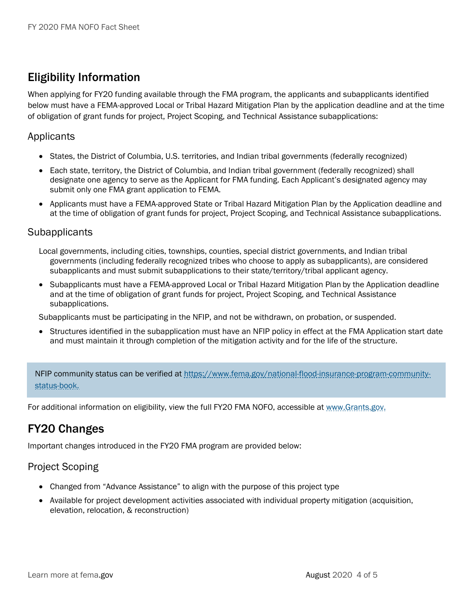# Eligibility Information

When applying for FY20 funding available through the FMA program, the applicants and subapplicants identified below must have a FEMA-approved Local or Tribal Hazard Mitigation Plan by the application deadline and at the time of obligation of grant funds for project, Project Scoping, and Technical Assistance subapplications:

#### Applicants

- States, the District of Columbia, U.S. territories, and Indian tribal governments (federally recognized)
- Each state, territory, the District of Columbia, and Indian tribal government (federally recognized) shall designate one agency to serve as the Applicant for FMA funding. Each Applicant's designated agency may submit only one FMA grant application to FEMA.
- Applicants must have a FEMA-approved State or Tribal Hazard Mitigation Plan by the Application deadline and at the time of obligation of grant funds for project, Project Scoping, and Technical Assistance subapplications.

#### **Subapplicants**

- Local governments, including cities, townships, counties, special district governments, and Indian tribal governments (including federally recognized tribes who choose to apply as subapplicants), are considered subapplicants and must submit subapplications to their state/territory/tribal applicant agency.
- Subapplicants must have a FEMA-approved Local or Tribal Hazard Mitigation Plan by the Application deadline and at the time of obligation of grant funds for project, Project Scoping, and Technical Assistance subapplications.

Subapplicants must be participating in the NFIP, and not be withdrawn, on probation, or suspended.

• Structures identified in the subapplication must have an NFIP policy in effect at the FMA Application start date and must maintain it through completion of the mitigation activity and for the life of the structure.

NFIP community status can be verified at [https://www.fema.gov/national-flood-insurance-program-community](https://www.fema.gov/national-flood-insurance-program-community-status-book)[status-book.](https://www.fema.gov/national-flood-insurance-program-community-status-book)

For additional information on eligibility, view the full FY20 FMA NOFO, accessible at [www.Grants.gov.](http://www.grants.gov/)

## FY20 Changes

Important changes introduced in the FY20 FMA program are provided below:

#### Project Scoping

- Changed from "Advance Assistance" to align with the purpose of this project type
- Available for project development activities associated with individual property mitigation (acquisition, elevation, relocation, & reconstruction)